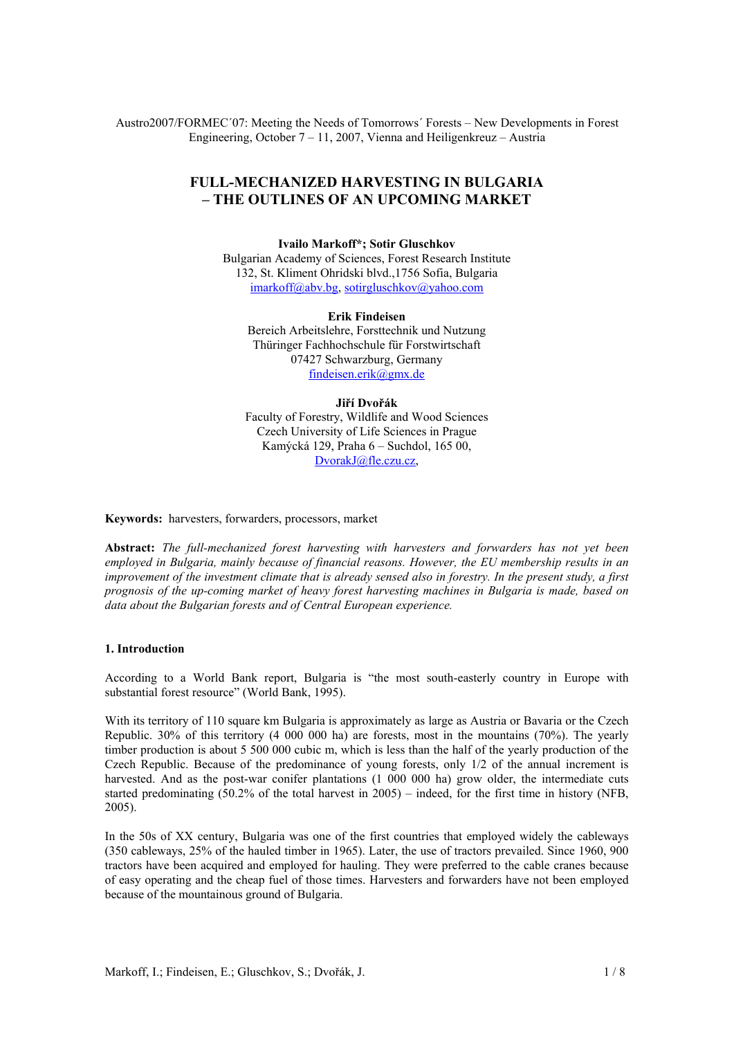Austro2007/FORMEC´07: Meeting the Needs of Tomorrows´ Forests – New Developments in Forest Engineering, October 7 – 11, 2007, Vienna and Heiligenkreuz – Austria

# **FULL-MECHANIZED HARVESTING IN BULGARIA – THE OUTLINES OF AN UPCOMING MARKET**

**Ivailo Markoff\*; Sotir Gluschkov**  Bulgarian Academy of Sciences, Forest Research Institute 132, St. Kliment Ohridski blvd.,1756 Sofia, Bulgaria imarkoff@abv.bg, sotirgluschkov@yahoo.com

**Erik Findeisen**  Bereich Arbeitslehre, Forsttechnik und Nutzung Thüringer Fachhochschule für Forstwirtschaft 07427 Schwarzburg, Germany findeisen.erik@gmx.de

### **Jiří Dvořák**

Faculty of Forestry, Wildlife and Wood Sciences Czech University of Life Sciences in Prague Kamýcká 129, Praha 6 – Suchdol, 165 00, DvorakJ@fle.czu.cz,

**Keywords:** harvesters, forwarders, processors, market

**Abstract:** *The full-mechanized forest harvesting with harvesters and forwarders has not yet been employed in Bulgaria, mainly because of financial reasons. However, the EU membership results in an improvement of the investment climate that is already sensed also in forestry. In the present study, a first prognosis of the up-coming market of heavy forest harvesting machines in Bulgaria is made, based on data about the Bulgarian forests and of Central European experience.* 

#### **1. Introduction**

According to a World Bank report, Bulgaria is "the most south-easterly country in Europe with substantial forest resource" (World Bank, 1995).

With its territory of 110 square km Bulgaria is approximately as large as Austria or Bavaria or the Czech Republic. 30% of this territory (4 000 000 ha) are forests, most in the mountains (70%). The yearly timber production is about 5 500 000 cubic m, which is less than the half of the yearly production of the Czech Republic. Because of the predominance of young forests, only 1/2 of the annual increment is harvested. And as the post-war conifer plantations (1 000 000 ha) grow older, the intermediate cuts started predominating (50.2% of the total harvest in 2005) – indeed, for the first time in history (NFB, 2005).

In the 50s of XX century, Bulgaria was one of the first countries that employed widely the cableways (350 cableways, 25% of the hauled timber in 1965). Later, the use of tractors prevailed. Since 1960, 900 tractors have been acquired and employed for hauling. They were preferred to the cable cranes because of easy operating and the cheap fuel of those times. Harvesters and forwarders have not been employed because of the mountainous ground of Bulgaria.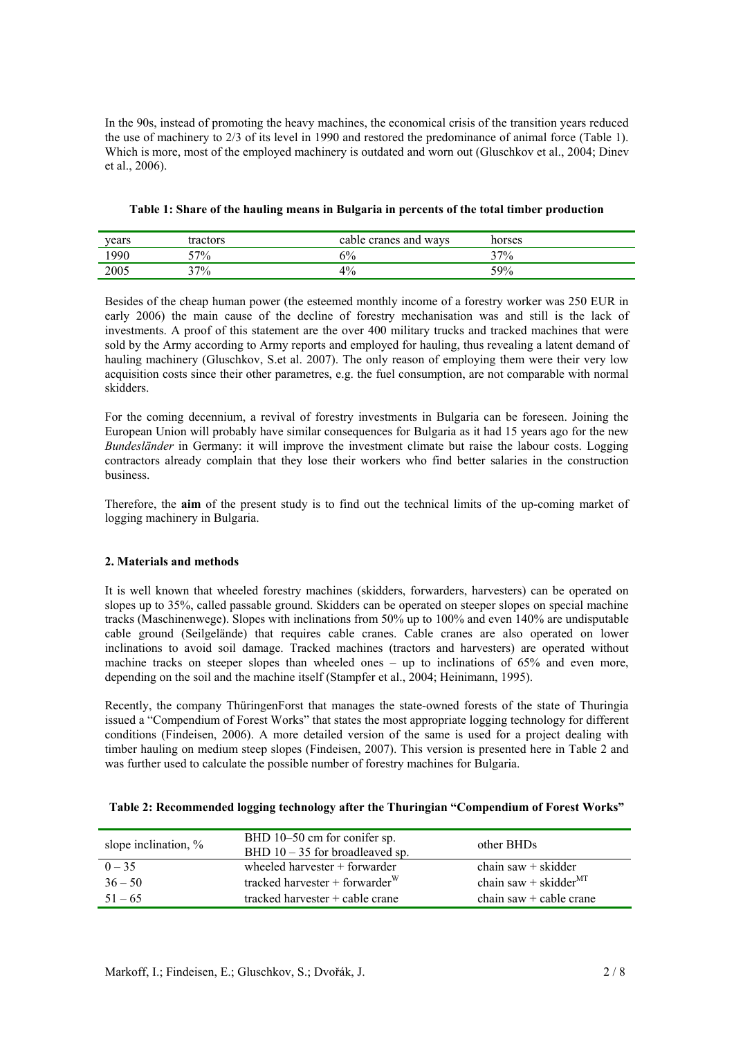In the 90s, instead of promoting the heavy machines, the economical crisis of the transition years reduced the use of machinery to 2/3 of its level in 1990 and restored the predominance of animal force (Table 1). Which is more, most of the employed machinery is outdated and worn out (Gluschkov et al., 2004; Dinev et al., 2006).

| years | tractors | cable cranes and ways | horses |  |
|-------|----------|-----------------------|--------|--|
| 1990  | $-7\%$   | 5%                    | $37\%$ |  |
| 2005  | $17\%$   | 4%                    | 59%    |  |

|  |  |  |  | Table 1: Share of the hauling means in Bulgaria in percents of the total timber production |
|--|--|--|--|--------------------------------------------------------------------------------------------|
|--|--|--|--|--------------------------------------------------------------------------------------------|

Besides of the cheap human power (the esteemed monthly income of a forestry worker was 250 EUR in early 2006) the main cause of the decline of forestry mechanisation was and still is the lack of investments. A proof of this statement are the over 400 military trucks and tracked machines that were sold by the Army according to Army reports and employed for hauling, thus revealing a latent demand of hauling machinery (Gluschkov, S.et al. 2007). The only reason of employing them were their very low acquisition costs since their other parametres, e.g. the fuel consumption, are not comparable with normal skidders.

For the coming decennium, a revival of forestry investments in Bulgaria can be foreseen. Joining the European Union will probably have similar consequences for Bulgaria as it had 15 years ago for the new *Bundesländer* in Germany: it will improve the investment climate but raise the labour costs. Logging contractors already complain that they lose their workers who find better salaries in the construction business.

Therefore, the **aim** of the present study is to find out the technical limits of the up-coming market of logging machinery in Bulgaria.

## **2. Materials and methods**

It is well known that wheeled forestry machines (skidders, forwarders, harvesters) can be operated on slopes up to 35%, called passable ground. Skidders can be operated on steeper slopes on special machine tracks (Maschinenwege). Slopes with inclinations from 50% up to 100% and even 140% are undisputable cable ground (Seilgelände) that requires cable cranes. Cable cranes are also operated on lower inclinations to avoid soil damage. Tracked machines (tractors and harvesters) are operated without machine tracks on steeper slopes than wheeled ones – up to inclinations of 65% and even more, depending on the soil and the machine itself (Stampfer et al., 2004; Heinimann, 1995).

Recently, the company ThüringenForst that manages the state-owned forests of the state of Thuringia issued a "Compendium of Forest Works" that states the most appropriate logging technology for different conditions (Findeisen, 2006). A more detailed version of the same is used for a project dealing with timber hauling on medium steep slopes (Findeisen, 2007). This version is presented here in Table 2 and was further used to calculate the possible number of forestry machines for Bulgaria.

| slope inclination, $\%$ | BHD 10–50 cm for conifer sp.<br>BHD $10 - 35$ for broadleaved sp. | other BHDs                |
|-------------------------|-------------------------------------------------------------------|---------------------------|
| $0 - 35$                | wheeled harvester $+$ forwarder                                   | chain saw $+$ skidder     |
| $36 - 50$               | tracked harvester + forwarder $W$                                 | chain saw + skidder $MT$  |
| $51 - 65$               | tracked harvester + cable crane                                   | chain saw $+$ cable crane |

### **Table 2: Recommended logging technology after the Thuringian "Compendium of Forest Works"**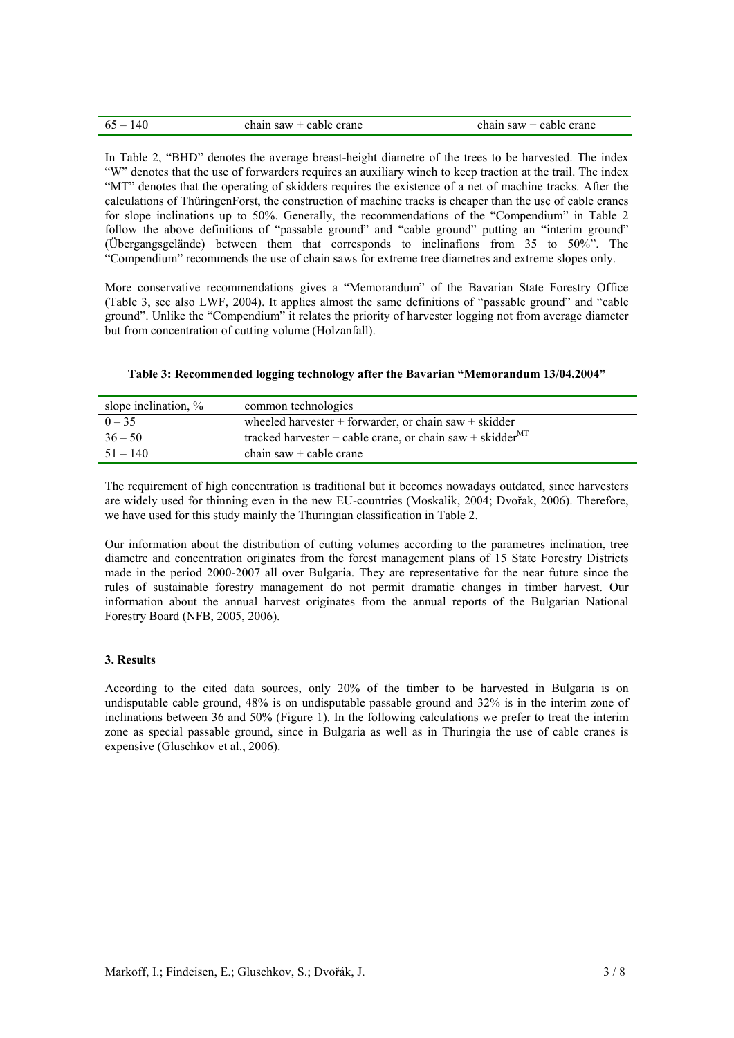| $65 - 140$ | chain saw $+$ cable crane | chain saw $+$ cable crane |
|------------|---------------------------|---------------------------|
|            |                           |                           |

In Table 2, "BHD" denotes the average breast-height diametre of the trees to be harvested. The index "W" denotes that the use of forwarders requires an auxiliary winch to keep traction at the trail. The index "MT" denotes that the operating of skidders requires the existence of a net of machine tracks. After the calculations of ThüringenForst, the construction of machine tracks is cheaper than the use of cable cranes for slope inclinations up to 50%. Generally, the recommendations of the "Compendium" in Table 2 follow the above definitions of "passable ground" and "cable ground" putting an "interim ground" (Übergangsgelände) between them that corresponds to inclinafions from 35 to 50%". The "Compendium" recommends the use of chain saws for extreme tree diametres and extreme slopes only.

More conservative recommendations gives a "Memorandum" of the Bavarian State Forestry Office (Table 3, see also LWF, 2004). It applies almost the same definitions of "passable ground" and "cable ground". Unlike the "Compendium" it relates the priority of harvester logging not from average diameter but from concentration of cutting volume (Holzanfall).

| Table 3: Recommended logging technology after the Bavarian "Memorandum 13/04.2004" |  |
|------------------------------------------------------------------------------------|--|
|------------------------------------------------------------------------------------|--|

| slope inclination, % | common technologies                                             |
|----------------------|-----------------------------------------------------------------|
| $0 - 35$             | wheeled harvester $+$ forwarder, or chain saw $+$ skidder       |
| $36 - 50$            | tracked harvester + cable crane, or chain saw + skidder $^{MT}$ |
| $51 - 140$           | chain saw $+$ cable crane                                       |

The requirement of high concentration is traditional but it becomes nowadays outdated, since harvesters are widely used for thinning even in the new EU-countries (Moskalik, 2004; Dvořak, 2006). Therefore, we have used for this study mainly the Thuringian classification in Table 2.

Our information about the distribution of cutting volumes according to the parametres inclination, tree diametre and concentration originates from the forest management plans of 15 State Forestry Districts made in the period 2000-2007 all over Bulgaria. They are representative for the near future since the rules of sustainable forestry management do not permit dramatic changes in timber harvest. Our information about the annual harvest originates from the annual reports of the Bulgarian National Forestry Board (NFB, 2005, 2006).

### **3. Results**

According to the cited data sources, only 20% of the timber to be harvested in Bulgaria is on undisputable cable ground, 48% is on undisputable passable ground and 32% is in the interim zone of inclinations between 36 and 50% (Figure 1). In the following calculations we prefer to treat the interim zone as special passable ground, since in Bulgaria as well as in Thuringia the use of cable cranes is expensive (Gluschkov et al., 2006).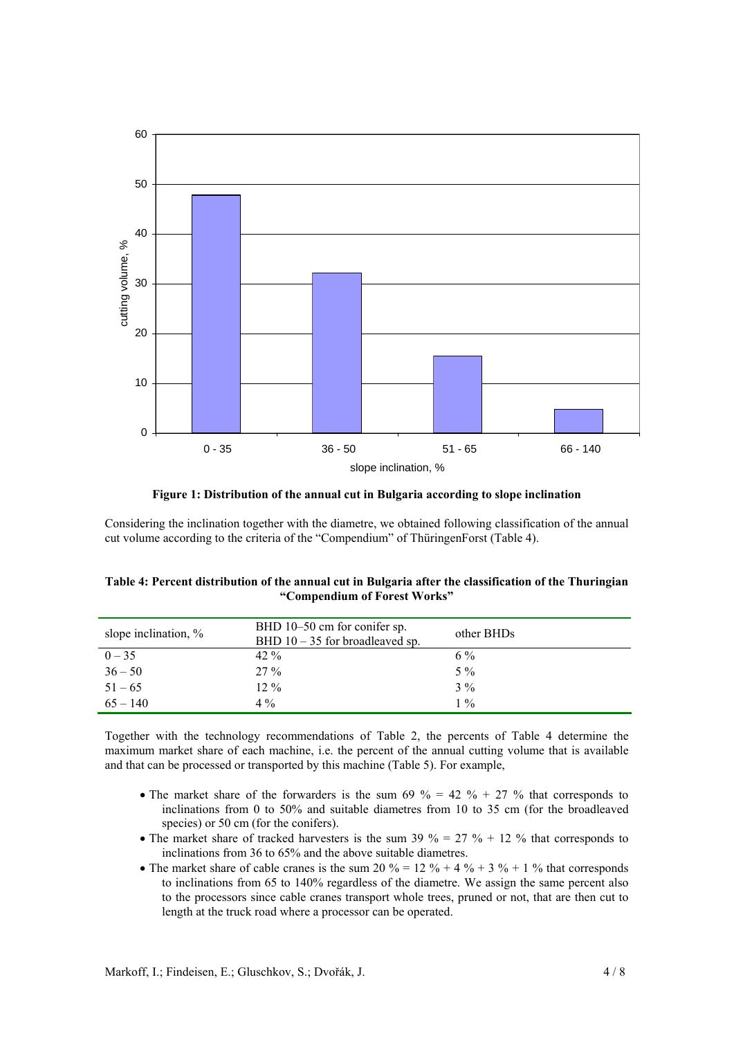

**Figure 1: Distribution of the annual cut in Bulgaria according to slope inclination** 

Considering the inclination together with the diametre, we obtained following classification of the annual cut volume according to the criteria of the "Compendium" of ThüringenForst (Table 4).

| Table 4: Percent distribution of the annual cut in Bulgaria after the classification of the Thuringian |
|--------------------------------------------------------------------------------------------------------|
| "Compendium of Forest Works"                                                                           |

| slope inclination, $\%$ | BHD 10–50 cm for conifer sp.<br>BHD $10 - 35$ for broadleaved sp. | other BHDs |
|-------------------------|-------------------------------------------------------------------|------------|
| $0 - 35$                | $42\%$                                                            | $6\%$      |
| $36 - 50$               | $27\%$                                                            | $5\%$      |
| $51 - 65$               | $12\%$                                                            | $3\%$      |
| $65 - 140$              | $4\%$                                                             | $1\%$      |

Together with the technology recommendations of Table 2, the percents of Table 4 determine the maximum market share of each machine, i.e. the percent of the annual cutting volume that is available and that can be processed or transported by this machine (Table 5). For example,

- The market share of the forwarders is the sum 69 % = 42 % + 27 % that corresponds to inclinations from 0 to 50% and suitable diametres from 10 to 35 cm (for the broadleaved species) or 50 cm (for the conifers).
- The market share of tracked harvesters is the sum 39 % = 27 % + 12 % that corresponds to inclinations from 36 to 65% and the above suitable diametres.
- The market share of cable cranes is the sum 20  $\% = 12 \% + 4 \% + 3 \% + 1 \%$  that corresponds to inclinations from 65 to 140% regardless of the diametre. We assign the same percent also to the processors since cable cranes transport whole trees, pruned or not, that are then cut to length at the truck road where a processor can be operated.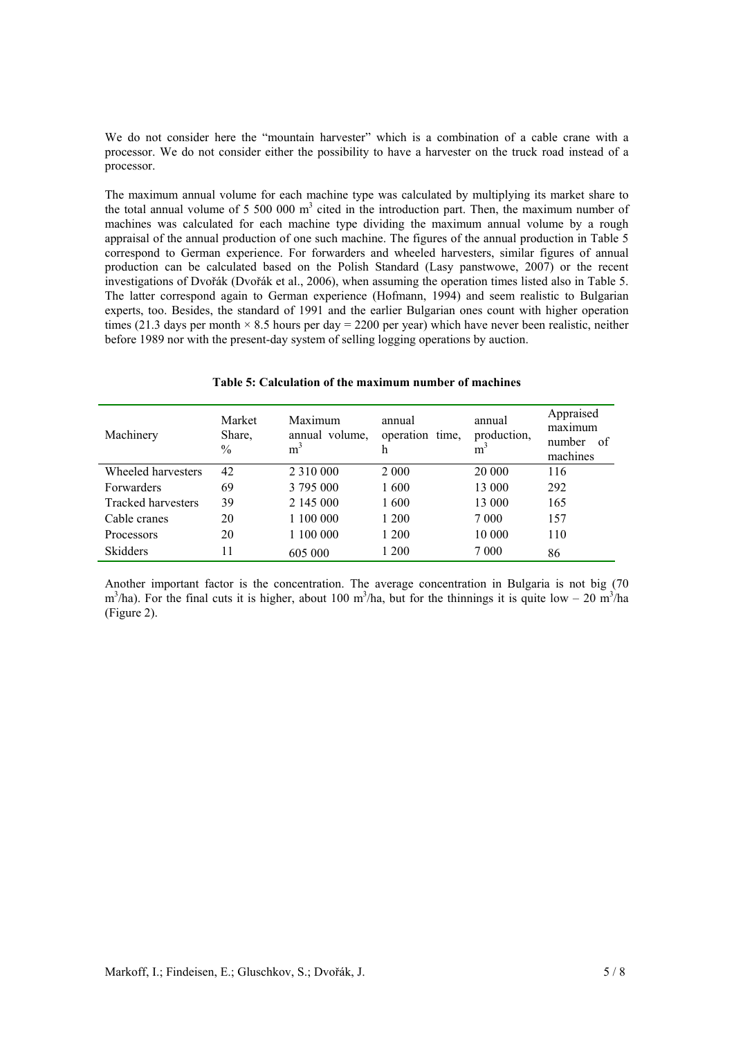We do not consider here the "mountain harvester" which is a combination of a cable crane with a processor. We do not consider either the possibility to have a harvester on the truck road instead of a processor.

The maximum annual volume for each machine type was calculated by multiplying its market share to the total annual volume of  $5\,500\,000\,\mathrm{m}^3$  cited in the introduction part. Then, the maximum number of machines was calculated for each machine type dividing the maximum annual volume by a rough appraisal of the annual production of one such machine. The figures of the annual production in Table 5 correspond to German experience. For forwarders and wheeled harvesters, similar figures of annual production can be calculated based on the Polish Standard (Lasy panstwowe, 2007) or the recent investigations of Dvořák (Dvořák et al., 2006), when assuming the operation times listed also in Table 5. The latter correspond again to German experience (Hofmann, 1994) and seem realistic to Bulgarian experts, too. Besides, the standard of 1991 and the earlier Bulgarian ones count with higher operation times (21.3 days per month  $\times$  8.5 hours per day = 2200 per year) which have never been realistic, neither before 1989 nor with the present-day system of selling logging operations by auction.

| Machinery                 | Market<br>Share.<br>$\frac{0}{0}$ | Maximum<br>annual volume.<br>m <sup>3</sup> | annual<br>operation time.<br>h | annual<br>production,<br>m <sup>3</sup> | Appraised<br>maximum<br>number<br>– of<br>machines |
|---------------------------|-----------------------------------|---------------------------------------------|--------------------------------|-----------------------------------------|----------------------------------------------------|
| Wheeled harvesters        | 42                                | 2 3 1 0 0 0 0 0                             | 2 0 0 0                        | 20 000                                  | 116                                                |
| Forwarders                | 69                                | 3 795 000                                   | 1600                           | 13 000                                  | 292                                                |
| <b>Tracked harvesters</b> | 39                                | 2 145 000                                   | 1600                           | 13 000                                  | 165                                                |
| Cable cranes              | 20                                | 1 100 000                                   | 1 200                          | 7 0 0 0                                 | 157                                                |
| Processors                | 20                                | 1 100 000                                   | 1 200                          | 10 000                                  | 110                                                |
| <b>Skidders</b>           | 11                                | 605 000                                     | 1 200                          | 7 0 0 0                                 | 86                                                 |

**Table 5: Calculation of the maximum number of machines** 

Another important factor is the concentration. The average concentration in Bulgaria is not big (70  $m^3/ha$ ). For the final cuts it is higher, about 100 m<sup>3</sup>/ha, but for the thinnings it is quite low – 20 m<sup>3</sup>/ha (Figure 2).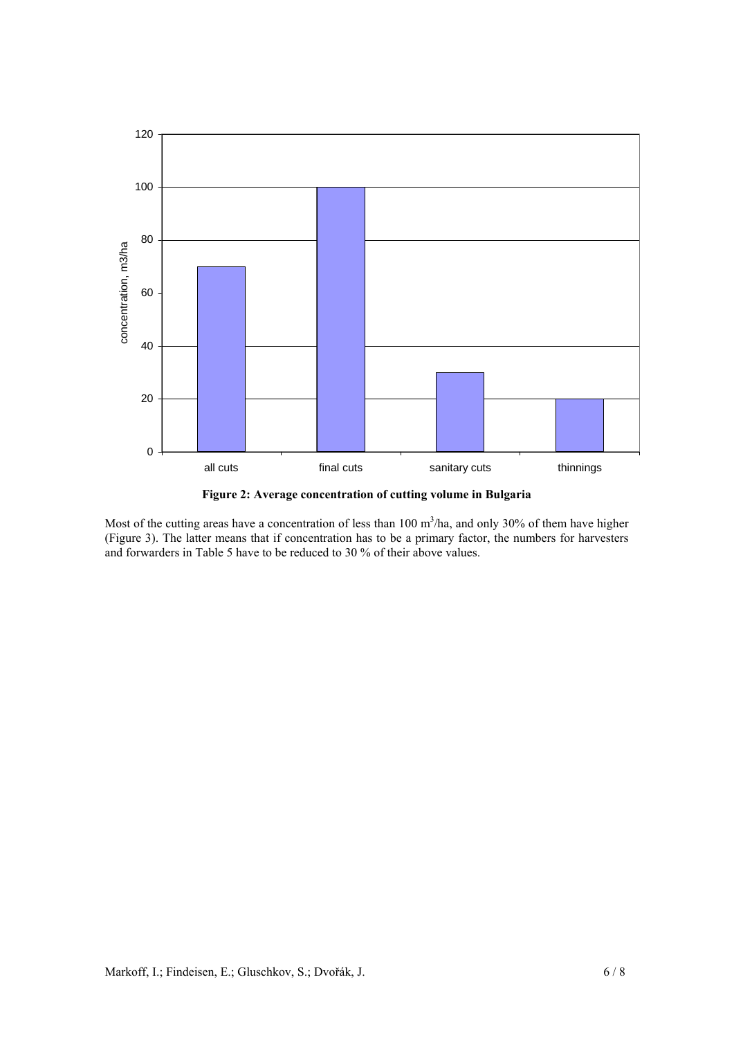

**Figure 2: Average concentration of cutting volume in Bulgaria** 

Most of the cutting areas have a concentration of less than  $100 \text{ m}^3/\text{ha}$ , and only 30% of them have higher (Figure 3). The latter means that if concentration has to be a primary factor, the numbers for harvesters and forwarders in Table 5 have to be reduced to 30 % of their above values.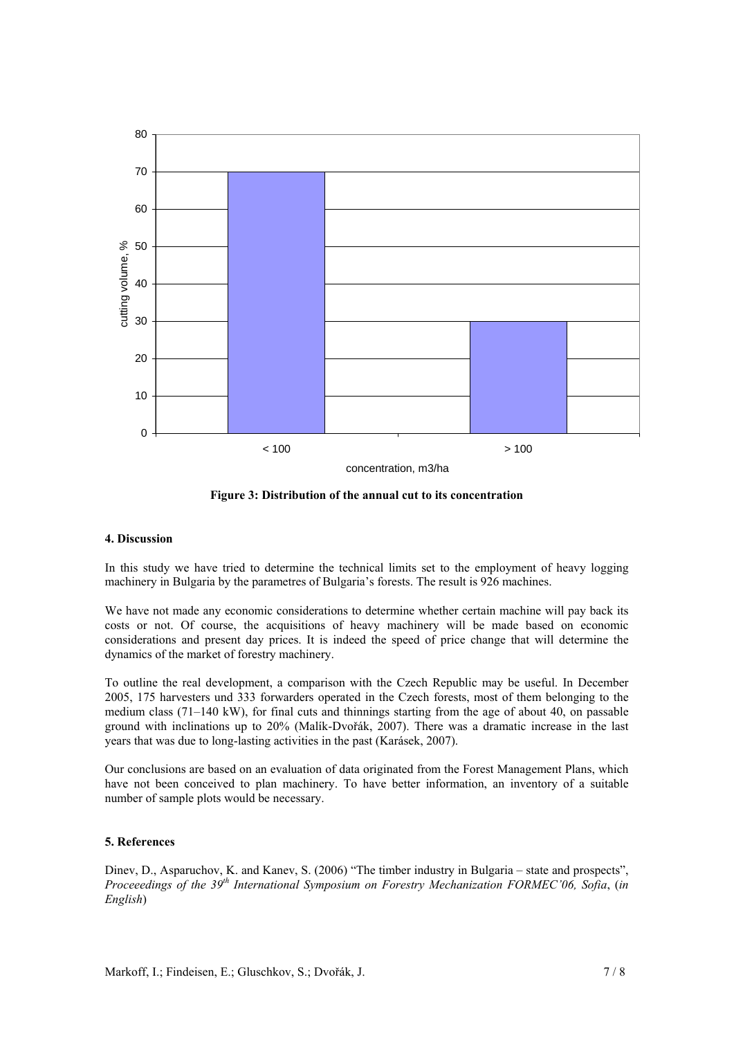

**Figure 3: Distribution of the annual cut to its concentration** 

### **4. Discussion**

In this study we have tried to determine the technical limits set to the employment of heavy logging machinery in Bulgaria by the parametres of Bulgaria's forests. The result is 926 machines.

We have not made any economic considerations to determine whether certain machine will pay back its costs or not. Of course, the acquisitions of heavy machinery will be made based on economic considerations and present day prices. It is indeed the speed of price change that will determine the dynamics of the market of forestry machinery.

To outline the real development, a comparison with the Czech Republic may be useful. In December 2005, 175 harvesters und 333 forwarders operated in the Czech forests, most of them belonging to the medium class (71–140 kW), for final cuts and thinnings starting from the age of about 40, on passable ground with inclinations up to 20% (Malík-Dvořák, 2007). There was a dramatic increase in the last years that was due to long-lasting activities in the past (Karásek, 2007).

Our conclusions are based on an evaluation of data originated from the Forest Management Plans, which have not been conceived to plan machinery. To have better information, an inventory of a suitable number of sample plots would be necessary.

### **5. References**

Dinev, D., Asparuchov, K. and Kanev, S. (2006) "The timber industry in Bulgaria – state and prospects", *Proceeedings of the 39th International Symposium on Forestry Mechanization FORMEC'06, Sofia*, (*in English*)